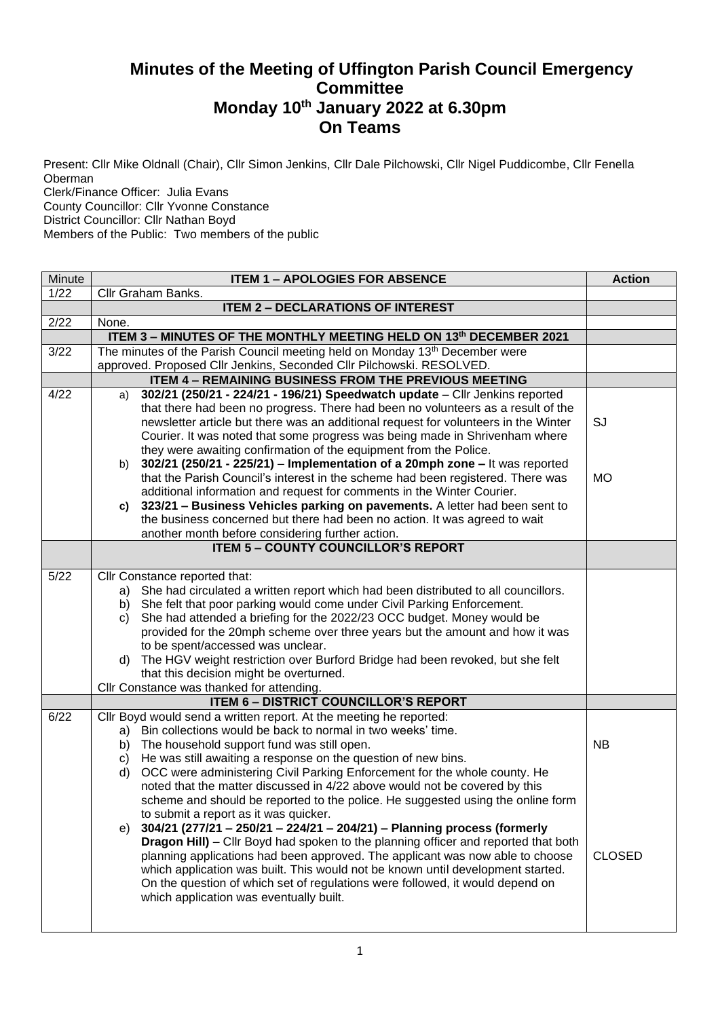## **Minutes of the Meeting of Uffington Parish Council Emergency Committee Monday 10th January 2022 at 6.30pm On Teams**

Present: Cllr Mike Oldnall (Chair), Cllr Simon Jenkins, Cllr Dale Pilchowski, Cllr Nigel Puddicombe, Cllr Fenella Oberman

Clerk/Finance Officer: Julia Evans

County Councillor: Cllr Yvonne Constance

District Councillor: Cllr Nathan Boyd

Members of the Public: Two members of the public

| Minute | <b>ITEM 1 - APOLOGIES FOR ABSENCE</b>                                                                                                                                                                                                                                                                                                                                                                                                                                                                                                                                                                                                                                                                                                                                                                                                                                                                                                                                                                                                      | <b>Action</b>              |
|--------|--------------------------------------------------------------------------------------------------------------------------------------------------------------------------------------------------------------------------------------------------------------------------------------------------------------------------------------------------------------------------------------------------------------------------------------------------------------------------------------------------------------------------------------------------------------------------------------------------------------------------------------------------------------------------------------------------------------------------------------------------------------------------------------------------------------------------------------------------------------------------------------------------------------------------------------------------------------------------------------------------------------------------------------------|----------------------------|
| 1/22   | Cllr Graham Banks.                                                                                                                                                                                                                                                                                                                                                                                                                                                                                                                                                                                                                                                                                                                                                                                                                                                                                                                                                                                                                         |                            |
|        | <b>ITEM 2 - DECLARATIONS OF INTEREST</b>                                                                                                                                                                                                                                                                                                                                                                                                                                                                                                                                                                                                                                                                                                                                                                                                                                                                                                                                                                                                   |                            |
| 2/22   | None.                                                                                                                                                                                                                                                                                                                                                                                                                                                                                                                                                                                                                                                                                                                                                                                                                                                                                                                                                                                                                                      |                            |
|        | ITEM 3 - MINUTES OF THE MONTHLY MEETING HELD ON 13th DECEMBER 2021                                                                                                                                                                                                                                                                                                                                                                                                                                                                                                                                                                                                                                                                                                                                                                                                                                                                                                                                                                         |                            |
| 3/22   | The minutes of the Parish Council meeting held on Monday 13 <sup>th</sup> December were                                                                                                                                                                                                                                                                                                                                                                                                                                                                                                                                                                                                                                                                                                                                                                                                                                                                                                                                                    |                            |
|        | approved. Proposed Cllr Jenkins, Seconded Cllr Pilchowski. RESOLVED.                                                                                                                                                                                                                                                                                                                                                                                                                                                                                                                                                                                                                                                                                                                                                                                                                                                                                                                                                                       |                            |
|        | ITEM 4 - REMAINING BUSINESS FROM THE PREVIOUS MEETING                                                                                                                                                                                                                                                                                                                                                                                                                                                                                                                                                                                                                                                                                                                                                                                                                                                                                                                                                                                      |                            |
| 4/22   | 302/21 (250/21 - 224/21 - 196/21) Speedwatch update - Cllr Jenkins reported<br>a)<br>that there had been no progress. There had been no volunteers as a result of the<br>newsletter article but there was an additional request for volunteers in the Winter<br>Courier. It was noted that some progress was being made in Shrivenham where<br>they were awaiting confirmation of the equipment from the Police.<br>302/21 (250/21 - 225/21) - Implementation of a 20mph zone - It was reported<br>b)<br>that the Parish Council's interest in the scheme had been registered. There was<br>additional information and request for comments in the Winter Courier.<br>323/21 - Business Vehicles parking on pavements. A letter had been sent to<br>C)<br>the business concerned but there had been no action. It was agreed to wait                                                                                                                                                                                                       | SJ<br><b>MO</b>            |
|        | another month before considering further action.                                                                                                                                                                                                                                                                                                                                                                                                                                                                                                                                                                                                                                                                                                                                                                                                                                                                                                                                                                                           |                            |
|        | <b>ITEM 5 - COUNTY COUNCILLOR'S REPORT</b>                                                                                                                                                                                                                                                                                                                                                                                                                                                                                                                                                                                                                                                                                                                                                                                                                                                                                                                                                                                                 |                            |
| 5/22   | Cllr Constance reported that:                                                                                                                                                                                                                                                                                                                                                                                                                                                                                                                                                                                                                                                                                                                                                                                                                                                                                                                                                                                                              |                            |
|        | a) She had circulated a written report which had been distributed to all councillors.<br>b) She felt that poor parking would come under Civil Parking Enforcement.<br>She had attended a briefing for the 2022/23 OCC budget. Money would be<br>C)<br>provided for the 20mph scheme over three years but the amount and how it was<br>to be spent/accessed was unclear.<br>The HGV weight restriction over Burford Bridge had been revoked, but she felt<br>d)<br>that this decision might be overturned.<br>Cllr Constance was thanked for attending.                                                                                                                                                                                                                                                                                                                                                                                                                                                                                     |                            |
|        | <b>ITEM 6 - DISTRICT COUNCILLOR'S REPORT</b>                                                                                                                                                                                                                                                                                                                                                                                                                                                                                                                                                                                                                                                                                                                                                                                                                                                                                                                                                                                               |                            |
| 6/22   | Cllr Boyd would send a written report. At the meeting he reported:<br>Bin collections would be back to normal in two weeks' time.<br>a)<br>b) The household support fund was still open.<br>He was still awaiting a response on the question of new bins.<br>C)<br>OCC were administering Civil Parking Enforcement for the whole county. He<br>d)<br>noted that the matter discussed in 4/22 above would not be covered by this<br>scheme and should be reported to the police. He suggested using the online form<br>to submit a report as it was quicker.<br>304/21 (277/21 - 250/21 - 224/21 - 204/21) - Planning process (formerly<br>e)<br><b>Dragon Hill)</b> – Cllr Boyd had spoken to the planning officer and reported that both<br>planning applications had been approved. The applicant was now able to choose<br>which application was built. This would not be known until development started.<br>On the question of which set of regulations were followed, it would depend on<br>which application was eventually built. | <b>NB</b><br><b>CLOSED</b> |
|        |                                                                                                                                                                                                                                                                                                                                                                                                                                                                                                                                                                                                                                                                                                                                                                                                                                                                                                                                                                                                                                            |                            |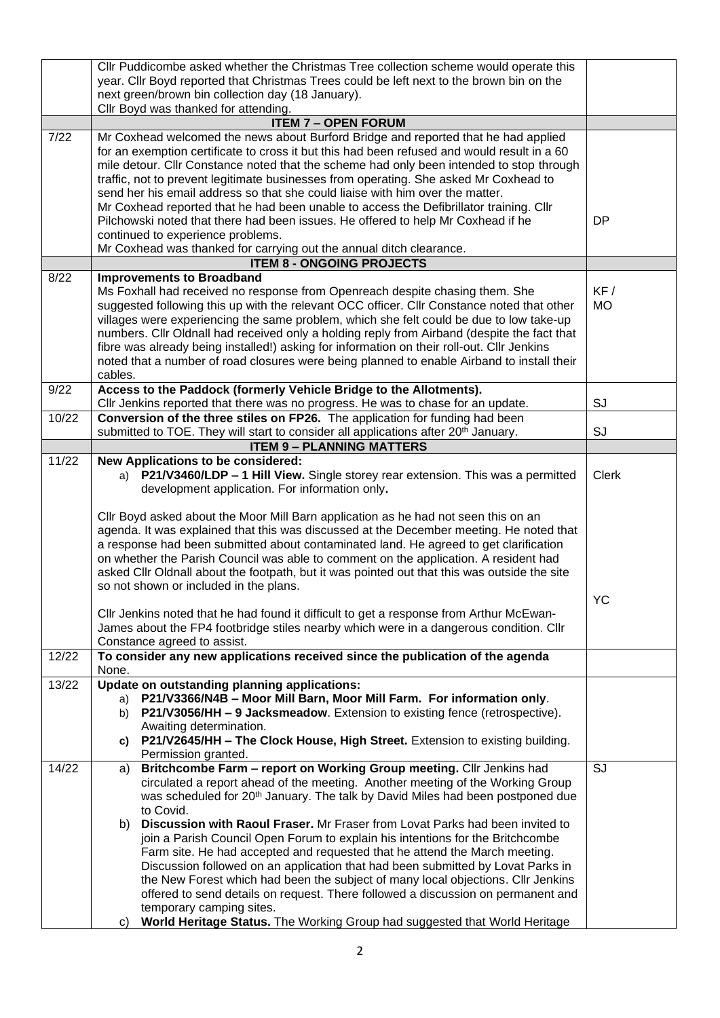|       | Cllr Puddicombe asked whether the Christmas Tree collection scheme would operate this          |              |
|-------|------------------------------------------------------------------------------------------------|--------------|
|       | year. Cllr Boyd reported that Christmas Trees could be left next to the brown bin on the       |              |
|       | next green/brown bin collection day (18 January).                                              |              |
|       | Cllr Boyd was thanked for attending.                                                           |              |
|       | <b>ITEM 7 - OPEN FORUM</b>                                                                     |              |
| 7/22  | Mr Coxhead welcomed the news about Burford Bridge and reported that he had applied             |              |
|       | for an exemption certificate to cross it but this had been refused and would result in a 60    |              |
|       | mile detour. Cllr Constance noted that the scheme had only been intended to stop through       |              |
|       |                                                                                                |              |
|       | traffic, not to prevent legitimate businesses from operating. She asked Mr Coxhead to          |              |
|       | send her his email address so that she could liaise with him over the matter.                  |              |
|       | Mr Coxhead reported that he had been unable to access the Defibrillator training. Cllr         |              |
|       | Pilchowski noted that there had been issues. He offered to help Mr Coxhead if he               | <b>DP</b>    |
|       | continued to experience problems.                                                              |              |
|       | Mr Coxhead was thanked for carrying out the annual ditch clearance.                            |              |
|       | <b>ITEM 8 - ONGOING PROJECTS</b>                                                               |              |
| 8/22  | <b>Improvements to Broadband</b>                                                               |              |
|       | Ms Foxhall had received no response from Openreach despite chasing them. She                   | KF /         |
|       | suggested following this up with the relevant OCC officer. Cllr Constance noted that other     |              |
|       |                                                                                                | <b>MO</b>    |
|       | villages were experiencing the same problem, which she felt could be due to low take-up        |              |
|       | numbers. Cllr Oldnall had received only a holding reply from Airband (despite the fact that    |              |
|       | fibre was already being installed!) asking for information on their roll-out. Cllr Jenkins     |              |
|       | noted that a number of road closures were being planned to enable Airband to install their     |              |
|       | cables.                                                                                        |              |
| 9/22  | Access to the Paddock (formerly Vehicle Bridge to the Allotments).                             |              |
|       | Cllr Jenkins reported that there was no progress. He was to chase for an update.               | SJ           |
| 10/22 | Conversion of the three stiles on FP26. The application for funding had been                   |              |
|       | submitted to TOE. They will start to consider all applications after 20 <sup>th</sup> January. | SJ           |
|       | <b>ITEM 9 - PLANNING MATTERS</b>                                                               |              |
| 11/22 | New Applications to be considered:                                                             |              |
|       | a) P21/V3460/LDP - 1 Hill View. Single storey rear extension. This was a permitted             | <b>Clerk</b> |
|       |                                                                                                |              |
|       | development application. For information only.                                                 |              |
|       |                                                                                                |              |
|       | Cllr Boyd asked about the Moor Mill Barn application as he had not seen this on an             |              |
|       | agenda. It was explained that this was discussed at the December meeting. He noted that        |              |
|       | a response had been submitted about contaminated land. He agreed to get clarification          |              |
|       | on whether the Parish Council was able to comment on the application. A resident had           |              |
|       | asked Cllr Oldnall about the footpath, but it was pointed out that this was outside the site   |              |
|       | so not shown or included in the plans.                                                         |              |
|       |                                                                                                | <b>YC</b>    |
|       | Cllr Jenkins noted that he had found it difficult to get a response from Arthur McEwan-        |              |
|       | James about the FP4 footbridge stiles nearby which were in a dangerous condition. Cllr         |              |
|       |                                                                                                |              |
|       | Constance agreed to assist.                                                                    |              |
| 12/22 | To consider any new applications received since the publication of the agenda                  |              |
|       | None.                                                                                          |              |
| 13/22 | Update on outstanding planning applications:                                                   |              |
|       | P21/V3366/N4B - Moor Mill Barn, Moor Mill Farm. For information only.<br>a)                    |              |
|       | P21/V3056/HH - 9 Jacksmeadow. Extension to existing fence (retrospective).<br>b)               |              |
|       | Awaiting determination.                                                                        |              |
|       | P21/V2645/HH - The Clock House, High Street. Extension to existing building.<br>C)             |              |
|       | Permission granted.                                                                            |              |
| 14/22 | Britchcombe Farm - report on Working Group meeting. Cllr Jenkins had<br>a)                     | SJ           |
|       | circulated a report ahead of the meeting. Another meeting of the Working Group                 |              |
|       | was scheduled for 20 <sup>th</sup> January. The talk by David Miles had been postponed due     |              |
|       | to Covid.                                                                                      |              |
|       | Discussion with Raoul Fraser. Mr Fraser from Lovat Parks had been invited to                   |              |
|       | b)                                                                                             |              |
|       | join a Parish Council Open Forum to explain his intentions for the Britchcombe                 |              |
|       | Farm site. He had accepted and requested that he attend the March meeting.                     |              |
|       | Discussion followed on an application that had been submitted by Lovat Parks in                |              |
|       | the New Forest which had been the subject of many local objections. Cllr Jenkins               |              |
|       | offered to send details on request. There followed a discussion on permanent and               |              |
|       | temporary camping sites.                                                                       |              |
|       | World Heritage Status. The Working Group had suggested that World Heritage<br>C)               |              |
|       |                                                                                                |              |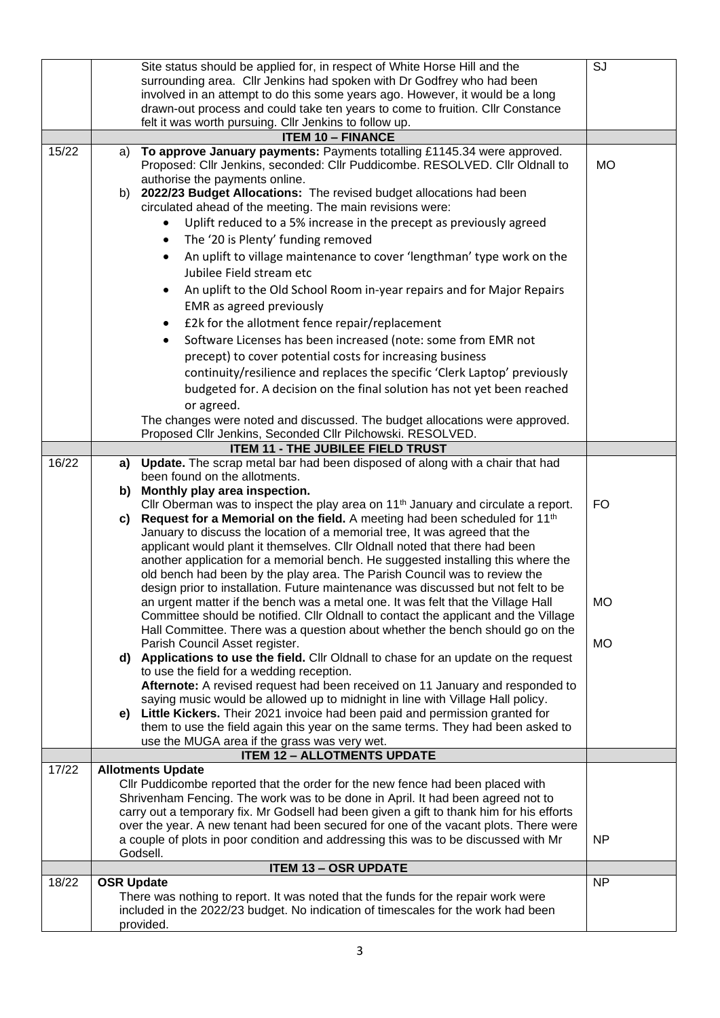|       |                   | Site status should be applied for, in respect of White Horse Hill and the<br>surrounding area. Cllr Jenkins had spoken with Dr Godfrey who had been<br>involved in an attempt to do this some years ago. However, it would be a long<br>drawn-out process and could take ten years to come to fruition. Cllr Constance<br>felt it was worth pursuing. Cllr Jenkins to follow up.                                                                                                                                                                                                                                                                                                                                                                                                                                                                                                                                                                                                                                                                                                                                                                                                                                                                                                                                                                                                                                                                                                                                                                                                                                                                                     | SJ                     |
|-------|-------------------|----------------------------------------------------------------------------------------------------------------------------------------------------------------------------------------------------------------------------------------------------------------------------------------------------------------------------------------------------------------------------------------------------------------------------------------------------------------------------------------------------------------------------------------------------------------------------------------------------------------------------------------------------------------------------------------------------------------------------------------------------------------------------------------------------------------------------------------------------------------------------------------------------------------------------------------------------------------------------------------------------------------------------------------------------------------------------------------------------------------------------------------------------------------------------------------------------------------------------------------------------------------------------------------------------------------------------------------------------------------------------------------------------------------------------------------------------------------------------------------------------------------------------------------------------------------------------------------------------------------------------------------------------------------------|------------------------|
|       |                   | <b>ITEM 10 - FINANCE</b>                                                                                                                                                                                                                                                                                                                                                                                                                                                                                                                                                                                                                                                                                                                                                                                                                                                                                                                                                                                                                                                                                                                                                                                                                                                                                                                                                                                                                                                                                                                                                                                                                                             |                        |
| 15/22 | a)                | To approve January payments: Payments totalling £1145.34 were approved.<br>Proposed: Cllr Jenkins, seconded: Cllr Puddicombe. RESOLVED. Cllr Oldnall to                                                                                                                                                                                                                                                                                                                                                                                                                                                                                                                                                                                                                                                                                                                                                                                                                                                                                                                                                                                                                                                                                                                                                                                                                                                                                                                                                                                                                                                                                                              | <b>MO</b>              |
|       |                   | authorise the payments online.<br>b) 2022/23 Budget Allocations: The revised budget allocations had been<br>circulated ahead of the meeting. The main revisions were:<br>Uplift reduced to a 5% increase in the precept as previously agreed<br>The '20 is Plenty' funding removed<br>An uplift to village maintenance to cover 'lengthman' type work on the<br>Jubilee Field stream etc<br>An uplift to the Old School Room in-year repairs and for Major Repairs<br>EMR as agreed previously<br>£2k for the allotment fence repair/replacement<br>$\bullet$<br>Software Licenses has been increased (note: some from EMR not<br>precept) to cover potential costs for increasing business<br>continuity/resilience and replaces the specific 'Clerk Laptop' previously<br>budgeted for. A decision on the final solution has not yet been reached                                                                                                                                                                                                                                                                                                                                                                                                                                                                                                                                                                                                                                                                                                                                                                                                                  |                        |
|       |                   | or agreed.<br>The changes were noted and discussed. The budget allocations were approved.                                                                                                                                                                                                                                                                                                                                                                                                                                                                                                                                                                                                                                                                                                                                                                                                                                                                                                                                                                                                                                                                                                                                                                                                                                                                                                                                                                                                                                                                                                                                                                            |                        |
|       |                   | Proposed Cllr Jenkins, Seconded Cllr Pilchowski. RESOLVED.                                                                                                                                                                                                                                                                                                                                                                                                                                                                                                                                                                                                                                                                                                                                                                                                                                                                                                                                                                                                                                                                                                                                                                                                                                                                                                                                                                                                                                                                                                                                                                                                           |                        |
|       |                   | <b>ITEM 11 - THE JUBILEE FIELD TRUST</b>                                                                                                                                                                                                                                                                                                                                                                                                                                                                                                                                                                                                                                                                                                                                                                                                                                                                                                                                                                                                                                                                                                                                                                                                                                                                                                                                                                                                                                                                                                                                                                                                                             |                        |
| 16/22 |                   | a) Update. The scrap metal bar had been disposed of along with a chair that had                                                                                                                                                                                                                                                                                                                                                                                                                                                                                                                                                                                                                                                                                                                                                                                                                                                                                                                                                                                                                                                                                                                                                                                                                                                                                                                                                                                                                                                                                                                                                                                      |                        |
|       |                   | been found on the allotments.                                                                                                                                                                                                                                                                                                                                                                                                                                                                                                                                                                                                                                                                                                                                                                                                                                                                                                                                                                                                                                                                                                                                                                                                                                                                                                                                                                                                                                                                                                                                                                                                                                        |                        |
|       |                   | b) Monthly play area inspection.                                                                                                                                                                                                                                                                                                                                                                                                                                                                                                                                                                                                                                                                                                                                                                                                                                                                                                                                                                                                                                                                                                                                                                                                                                                                                                                                                                                                                                                                                                                                                                                                                                     |                        |
|       |                   | Cllr Oberman was to inspect the play area on $11th$ January and circulate a report.                                                                                                                                                                                                                                                                                                                                                                                                                                                                                                                                                                                                                                                                                                                                                                                                                                                                                                                                                                                                                                                                                                                                                                                                                                                                                                                                                                                                                                                                                                                                                                                  | <b>FO</b>              |
| 17/22 | C)<br>e)          | Request for a Memorial on the field. A meeting had been scheduled for 11 <sup>th</sup><br>January to discuss the location of a memorial tree, It was agreed that the<br>applicant would plant it themselves. Cllr Oldnall noted that there had been<br>another application for a memorial bench. He suggested installing this where the<br>old bench had been by the play area. The Parish Council was to review the<br>design prior to installation. Future maintenance was discussed but not felt to be<br>an urgent matter if the bench was a metal one. It was felt that the Village Hall<br>Committee should be notified. Cllr Oldnall to contact the applicant and the Village<br>Hall Committee. There was a question about whether the bench should go on the<br>Parish Council Asset register.<br>d) Applications to use the field. Cllr Oldnall to chase for an update on the request<br>to use the field for a wedding reception.<br>Afternote: A revised request had been received on 11 January and responded to<br>saying music would be allowed up to midnight in line with Village Hall policy.<br>Little Kickers. Their 2021 invoice had been paid and permission granted for<br>them to use the field again this year on the same terms. They had been asked to<br>use the MUGA area if the grass was very wet.<br><b>ITEM 12 - ALLOTMENTS UPDATE</b><br><b>Allotments Update</b><br>Cllr Puddicombe reported that the order for the new fence had been placed with<br>Shrivenham Fencing. The work was to be done in April. It had been agreed not to<br>carry out a temporary fix. Mr Godsell had been given a gift to thank him for his efforts | <b>MO</b><br><b>MO</b> |
|       |                   | over the year. A new tenant had been secured for one of the vacant plots. There were                                                                                                                                                                                                                                                                                                                                                                                                                                                                                                                                                                                                                                                                                                                                                                                                                                                                                                                                                                                                                                                                                                                                                                                                                                                                                                                                                                                                                                                                                                                                                                                 |                        |
|       |                   | a couple of plots in poor condition and addressing this was to be discussed with Mr<br>Godsell.                                                                                                                                                                                                                                                                                                                                                                                                                                                                                                                                                                                                                                                                                                                                                                                                                                                                                                                                                                                                                                                                                                                                                                                                                                                                                                                                                                                                                                                                                                                                                                      | <b>NP</b>              |
|       |                   | <b>ITEM 13 - OSR UPDATE</b>                                                                                                                                                                                                                                                                                                                                                                                                                                                                                                                                                                                                                                                                                                                                                                                                                                                                                                                                                                                                                                                                                                                                                                                                                                                                                                                                                                                                                                                                                                                                                                                                                                          |                        |
| 18/22 | <b>OSR Update</b> |                                                                                                                                                                                                                                                                                                                                                                                                                                                                                                                                                                                                                                                                                                                                                                                                                                                                                                                                                                                                                                                                                                                                                                                                                                                                                                                                                                                                                                                                                                                                                                                                                                                                      | <b>NP</b>              |
|       |                   | There was nothing to report. It was noted that the funds for the repair work were                                                                                                                                                                                                                                                                                                                                                                                                                                                                                                                                                                                                                                                                                                                                                                                                                                                                                                                                                                                                                                                                                                                                                                                                                                                                                                                                                                                                                                                                                                                                                                                    |                        |
|       |                   | included in the 2022/23 budget. No indication of timescales for the work had been<br>provided.                                                                                                                                                                                                                                                                                                                                                                                                                                                                                                                                                                                                                                                                                                                                                                                                                                                                                                                                                                                                                                                                                                                                                                                                                                                                                                                                                                                                                                                                                                                                                                       |                        |